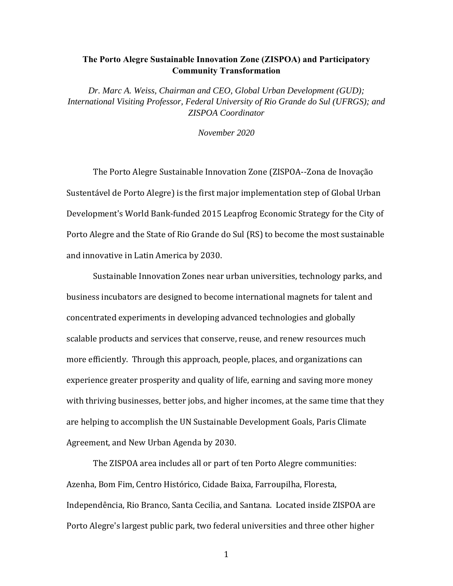## **The Porto Alegre Sustainable Innovation Zone (ZISPOA) and Participatory Community Transformation**

*Dr. Marc A. Weiss, Chairman and CEO, Global Urban Development (GUD); International Visiting Professor, Federal University of Rio Grande do Sul (UFRGS); and ZISPOA Coordinator* 

*November 2020* 

 The Porto Alegre Sustainable Innovation Zone (ZISPOA--Zona de Inovação Sustentável de Porto Alegre) is the first major implementation step of Global Urban Development's World Bank-funded 2015 Leapfrog Economic Strategy for the City of Porto Alegre and the State of Rio Grande do Sul (RS) to become the most sustainable and innovative in Latin America by 2030.

 Sustainable Innovation Zones near urban universities, technology parks, and business incubators are designed to become international magnets for talent and concentrated experiments in developing advanced technologies and globally scalable products and services that conserve, reuse, and renew resources much more efficiently. Through this approach, people, places, and organizations can experience greater prosperity and quality of life, earning and saving more money with thriving businesses, better jobs, and higher incomes, at the same time that they are helping to accomplish the UN Sustainable Development Goals, Paris Climate Agreement, and New Urban Agenda by 2030.

 The ZISPOA area includes all or part of ten Porto Alegre communities: Azenha, Bom Fim, Centro Histórico, Cidade Baixa, Farroupilha, Floresta, Independência, Rio Branco, Santa Cecilia, and Santana. Located inside ZISPOA are Porto Alegre's largest public park, two federal universities and three other higher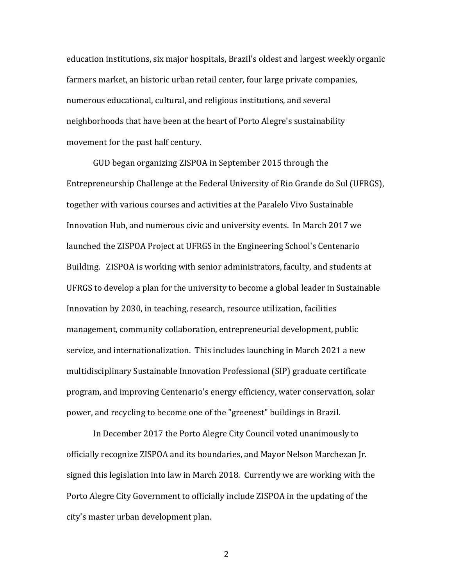education institutions, six major hospitals, Brazil's oldest and largest weekly organic farmers market, an historic urban retail center, four large private companies, numerous educational, cultural, and religious institutions, and several neighborhoods that have been at the heart of Porto Alegre's sustainability movement for the past half century.

 GUD began organizing ZISPOA in September 2015 through the Entrepreneurship Challenge at the Federal University of Rio Grande do Sul (UFRGS), together with various courses and activities at the Paralelo Vivo Sustainable Innovation Hub, and numerous civic and university events. In March 2017 we launched the ZISPOA Project at UFRGS in the Engineering School's Centenario Building. ZISPOA is working with senior administrators, faculty, and students at UFRGS to develop a plan for the university to become a global leader in Sustainable Innovation by 2030, in teaching, research, resource utilization, facilities management, community collaboration, entrepreneurial development, public service, and internationalization. This includes launching in March 2021 a new multidisciplinary Sustainable Innovation Professional (SIP) graduate certificate program, and improving Centenario's energy efficiency, water conservation, solar power, and recycling to become one of the "greenest" buildings in Brazil.

 In December 2017 the Porto Alegre City Council voted unanimously to officially recognize ZISPOA and its boundaries, and Mayor Nelson Marchezan Jr. signed this legislation into law in March 2018. Currently we are working with the Porto Alegre City Government to officially include ZISPOA in the updating of the city's master urban development plan.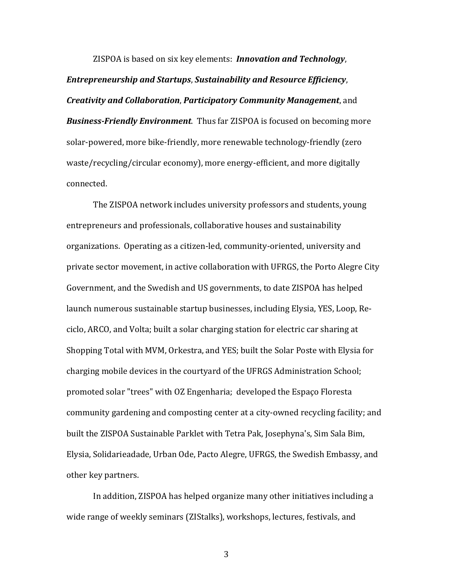ZISPOA is based on six key elements: *Innovation and Technology*, *Entrepreneurship and Startups*, *Sustainability and Resource Efficiency*, *Creativity and Collaboration*, *Participatory Community Management*, and *Business‐Friendly Environment*. Thus far ZISPOA is focused on becoming more solar-powered, more bike-friendly, more renewable technology-friendly (zero waste/recycling/circular economy), more energy-efficient, and more digitally connected.

 The ZISPOA network includes university professors and students, young entrepreneurs and professionals, collaborative houses and sustainability organizations. Operating as a citizen-led, community-oriented, university and private sector movement, in active collaboration with UFRGS, the Porto Alegre City Government, and the Swedish and US governments, to date ZISPOA has helped launch numerous sustainable startup businesses, including Elysia, YES, Loop, Reciclo, ARCO, and Volta; built a solar charging station for electric car sharing at Shopping Total with MVM, Orkestra, and YES; built the Solar Poste with Elysia for charging mobile devices in the courtyard of the UFRGS Administration School; promoted solar "trees" with OZ Engenharia; developed the Espaço Floresta community gardening and composting center at a city-owned recycling facility; and built the ZISPOA Sustainable Parklet with Tetra Pak, Josephyna's, Sim Sala Bim, Elysia, Solidarieadade, Urban Ode, Pacto Alegre, UFRGS, the Swedish Embassy, and other key partners.

 In addition, ZISPOA has helped organize many other initiatives including a wide range of weekly seminars (ZIStalks), workshops, lectures, festivals, and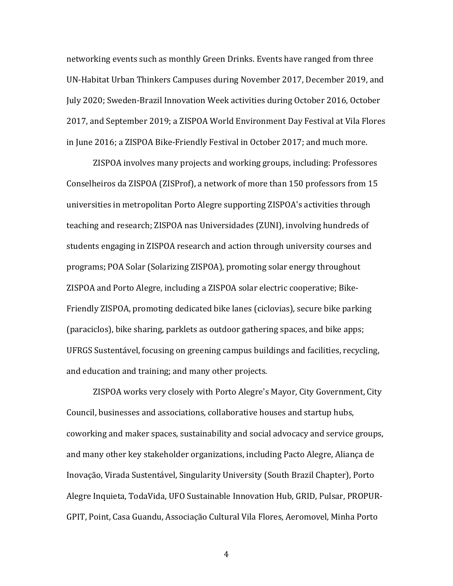networking events such as monthly Green Drinks. Events have ranged from three UN-Habitat Urban Thinkers Campuses during November 2017, December 2019, and July 2020; Sweden-Brazil Innovation Week activities during October 2016, October 2017, and September 2019; a ZISPOA World Environment Day Festival at Vila Flores in June 2016; a ZISPOA Bike-Friendly Festival in October 2017; and much more.

 ZISPOA involves many projects and working groups, including: Professores Conselheiros da ZISPOA (ZISProf), a network of more than 150 professors from 15 universities in metropolitan Porto Alegre supporting ZISPOA's activities through teaching and research; ZISPOA nas Universidades (ZUNI), involving hundreds of students engaging in ZISPOA research and action through university courses and programs; POA Solar (Solarizing ZISPOA), promoting solar energy throughout ZISPOA and Porto Alegre, including a ZISPOA solar electric cooperative; Bike-Friendly ZISPOA, promoting dedicated bike lanes (ciclovias), secure bike parking (paraciclos), bike sharing, parklets as outdoor gathering spaces, and bike apps; UFRGS Sustentável, focusing on greening campus buildings and facilities, recycling, and education and training; and many other projects.

 ZISPOA works very closely with Porto Alegre's Mayor, City Government, City Council, businesses and associations, collaborative houses and startup hubs, coworking and maker spaces, sustainability and social advocacy and service groups, and many other key stakeholder organizations, including Pacto Alegre, Aliança de Inovação, Virada Sustentável, Singularity University (South Brazil Chapter), Porto Alegre Inquieta, TodaVida, UFO Sustainable Innovation Hub, GRID, Pulsar, PROPUR-GPIT, Point, Casa Guandu, Associação Cultural Vila Flores, Aeromovel, Minha Porto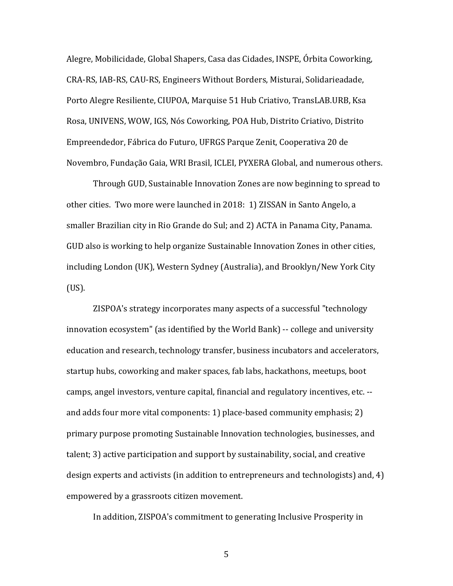Alegre, Mobilicidade, Global Shapers, Casa das Cidades, INSPE, Órbita Coworking, CRA-RS, IAB-RS, CAU-RS, Engineers Without Borders, Misturai, Solidarieadade, Porto Alegre Resiliente, CIUPOA, Marquise 51 Hub Criativo, TransLAB.URB, Ksa Rosa, UNIVENS, WOW, IGS, Nós Coworking, POA Hub, Distrito Criativo, Distrito Empreendedor, Fábrica do Futuro, UFRGS Parque Zenit, Cooperativa 20 de Novembro, Fundação Gaia, WRI Brasil, ICLEI, PYXERA Global, and numerous others.

 Through GUD, Sustainable Innovation Zones are now beginning to spread to other cities. Two more were launched in 2018: 1) ZISSAN in Santo Angelo, a smaller Brazilian city in Rio Grande do Sul; and 2) ACTA in Panama City, Panama. GUD also is working to help organize Sustainable Innovation Zones in other cities, including London (UK), Western Sydney (Australia), and Brooklyn/New York City (US).

 ZISPOA's strategy incorporates many aspects of a successful "technology innovation ecosystem" (as identified by the World Bank) -- college and university education and research, technology transfer, business incubators and accelerators, startup hubs, coworking and maker spaces, fab labs, hackathons, meetups, boot camps, angel investors, venture capital, financial and regulatory incentives, etc. - and adds four more vital components: 1) place-based community emphasis; 2) primary purpose promoting Sustainable Innovation technologies, businesses, and talent; 3) active participation and support by sustainability, social, and creative design experts and activists (in addition to entrepreneurs and technologists) and, 4) empowered by a grassroots citizen movement.

In addition, ZISPOA's commitment to generating Inclusive Prosperity in

 $\sim$  5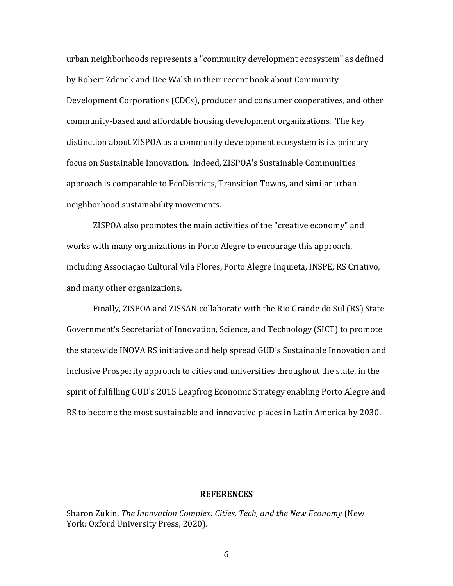urban neighborhoods represents a "community development ecosystem" as defined by Robert Zdenek and Dee Walsh in their recent book about Community Development Corporations (CDCs), producer and consumer cooperatives, and other community-based and affordable housing development organizations. The key distinction about ZISPOA as a community development ecosystem is its primary focus on Sustainable Innovation. Indeed, ZISPOA's Sustainable Communities approach is comparable to EcoDistricts, Transition Towns, and similar urban neighborhood sustainability movements.

 ZISPOA also promotes the main activities of the "creative economy" and works with many organizations in Porto Alegre to encourage this approach, including Associação Cultural Vila Flores, Porto Alegre Inquieta, INSPE, RS Criativo, and many other organizations.

 Finally, ZISPOA and ZISSAN collaborate with the Rio Grande do Sul (RS) State Government's Secretariat of Innovation, Science, and Technology (SICT) to promote the statewide INOVA RS initiative and help spread GUD's Sustainable Innovation and Inclusive Prosperity approach to cities and universities throughout the state, in the spirit of fulfilling GUD's 2015 Leapfrog Economic Strategy enabling Porto Alegre and RS to become the most sustainable and innovative places in Latin America by 2030.

## **REFERENCES**

Sharon Zukin, *The Innovation Complex: Cities, Tech, and the New Economy* (New York: Oxford University Press, 2020).

 $\sim$  6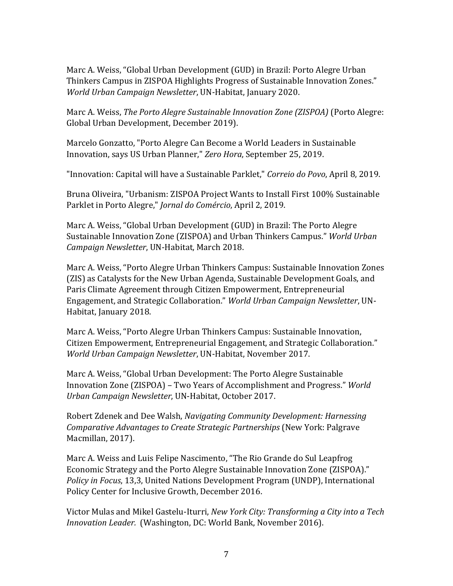Marc A. Weiss, "Global Urban Development (GUD) in Brazil: Porto Alegre Urban Thinkers Campus in ZISPOA Highlights Progress of Sustainable Innovation Zones." *World Urban Campaign Newsletter*, UN-Habitat, January 2020.

Marc A. Weiss, *The Porto Alegre Sustainable Innovation Zone (ZISPOA)* (Porto Alegre: Global Urban Development, December 2019).

Marcelo Gonzatto, "Porto Alegre Can Become a World Leaders in Sustainable Innovation, says US Urban Planner," *Zero Hora*, September 25, 2019.

"Innovation: Capital will have a Sustainable Parklet," *Correio do Povo*, April 8, 2019.

Bruna Oliveira, "Urbanism: ZISPOA Project Wants to Install First 100% Sustainable Parklet in Porto Alegre," *Jornal do Comércio*, April 2, 2019.

Marc A. Weiss, "Global Urban Development (GUD) in Brazil: The Porto Alegre Sustainable Innovation Zone (ZISPOA) and Urban Thinkers Campus." *World Urban Campaign Newsletter*, UN-Habitat, March 2018.

Marc A. Weiss, "Porto Alegre Urban Thinkers Campus: Sustainable Innovation Zones (ZIS) as Catalysts for the New Urban Agenda, Sustainable Development Goals, and Paris Climate Agreement through Citizen Empowerment, Entrepreneurial Engagement, and Strategic Collaboration." *World Urban Campaign Newsletter*, UN-Habitat, January 2018.

Marc A. Weiss, "Porto Alegre Urban Thinkers Campus: Sustainable Innovation, Citizen Empowerment, Entrepreneurial Engagement, and Strategic Collaboration." *World Urban Campaign Newsletter*, UN-Habitat, November 2017.

Marc A. Weiss, "Global Urban Development: The Porto Alegre Sustainable Innovation Zone (ZISPOA) – Two Years of Accomplishment and Progress." *World Urban Campaign Newsletter*, UN-Habitat, October 2017.

Robert Zdenek and Dee Walsh, *Navigating Community Development: Harnessing Comparative Advantages to Create Strategic Partnerships* (New York: Palgrave Macmillan, 2017).

Marc A. Weiss and Luis Felipe Nascimento, "The Rio Grande do Sul Leapfrog Economic Strategy and the Porto Alegre Sustainable Innovation Zone (ZISPOA)." *Policy in Focus*, 13,3, United Nations Development Program (UNDP), International Policy Center for Inclusive Growth, December 2016.

Victor Mulas and Mikel Gastelu-Iturri, *New York City: Transforming a City into a Tech Innovation Leader.* (Washington, DC: World Bank, November 2016).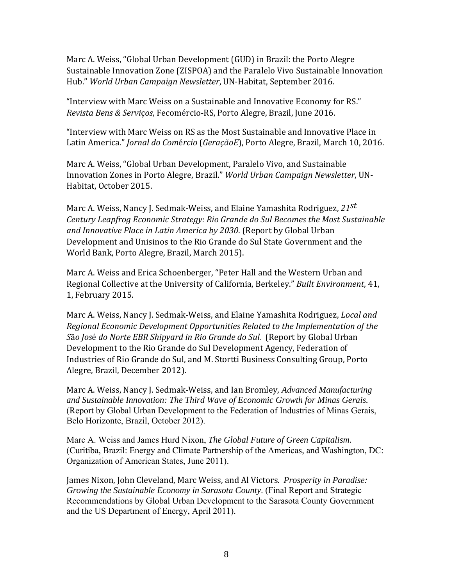Marc A. Weiss, "Global Urban Development (GUD) in Brazil: the Porto Alegre Sustainable Innovation Zone (ZISPOA) and the Paralelo Vivo Sustainable Innovation Hub." *World Urban Campaign Newsletter*, UN-Habitat, September 2016.

"Interview with Marc Weiss on a Sustainable and Innovative Economy for RS." *Revista Bens & Servi*ç*os*, Fecomércio-RS, Porto Alegre, Brazil, June 2016.

"Interview with Marc Weiss on RS as the Most Sustainable and Innovative Place in Latin America." *Jornal do Com*é*rcio* (*GeraçãoE*), Porto Alegre, Brazil, March 10, 2016.

Marc A. Weiss, "Global Urban Development, Paralelo Vivo, and Sustainable Innovation Zones in Porto Alegre, Brazil." *World Urban Campaign Newsletter*, UN-Habitat, October 2015.

Marc A. Weiss, Nancy J. Sedmak-Weiss, and Elaine Yamashita Rodriguez, *21st Century Leapfrog Economic Strategy: Rio Grande do Sul Becomes the Most Sustainable and Innovative Place in Latin America by 2030*. (Report by Global Urban Development and Unisinos to the Rio Grande do Sul State Government and the World Bank, Porto Alegre, Brazil, March 2015).

Marc A. Weiss and Erica Schoenberger, "Peter Hall and the Western Urban and Regional Collective at the University of California, Berkeley." *Built Environment*, 41, 1, February 2015.

Marc A. Weiss, Nancy J. Sedmak-Weiss, and Elaine Yamashita Rodriguez, *Local and Regional Economic Development Opportunities Related to the Implementation of the S*ã*o Jos*é *do Norte EBR Shipyard in Rio Grande do Sul.* (Report by Global Urban Development to the Rio Grande do Sul Development Agency, Federation of Industries of Rio Grande do Sul, and M. Stortti Business Consulting Group, Porto Alegre, Brazil, December 2012).

Marc A. Weiss, Nancy J. Sedmak-Weiss, and Ian Bromley, *Advanced Manufacturing and Sustainable Innovation: The Third Wave of Economic Growth for Minas Gerais.*  (Report by Global Urban Development to the Federation of Industries of Minas Gerais, Belo Horizonte, Brazil, October 2012).

Marc A. Weiss and James Hurd Nixon, *The Global Future of Green Capitalism.*  (Curitiba, Brazil: Energy and Climate Partnership of the Americas, and Washington, DC: Organization of American States, June 2011).

James Nixon, John Cleveland, Marc Weiss, and Al Victors. *Prosperity in Paradise: Growing the Sustainable Economy in Sarasota County*. (Final Report and Strategic Recommendations by Global Urban Development to the Sarasota County Government and the US Department of Energy, April 2011).